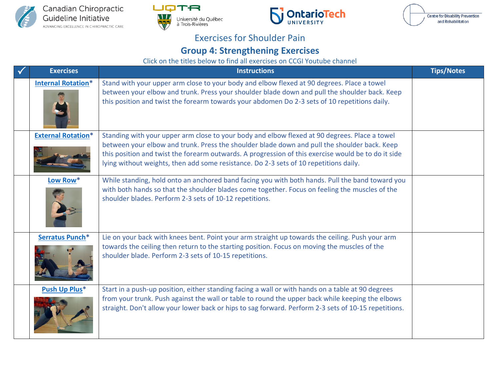







## Exercises for Shoulder Pain

## **Group 4: Strengthening Exercises**

Click on the titles below to find all exercises on CCGI Youtube channel

| <b>Exercises</b>          | <b>Instructions</b>                                                                                                                                                                                                                                                                                                                                                                           | <b>Tips/Notes</b> |
|---------------------------|-----------------------------------------------------------------------------------------------------------------------------------------------------------------------------------------------------------------------------------------------------------------------------------------------------------------------------------------------------------------------------------------------|-------------------|
| <b>Internal Rotation*</b> | Stand with your upper arm close to your body and elbow flexed at 90 degrees. Place a towel<br>between your elbow and trunk. Press your shoulder blade down and pull the shoulder back. Keep<br>this position and twist the forearm towards your abdomen Do 2-3 sets of 10 repetitions daily.                                                                                                  |                   |
| <b>External Rotation*</b> | Standing with your upper arm close to your body and elbow flexed at 90 degrees. Place a towel<br>between your elbow and trunk. Press the shoulder blade down and pull the shoulder back. Keep<br>this position and twist the forearm outwards. A progression of this exercise would be to do it side<br>lying without weights, then add some resistance. Do 2-3 sets of 10 repetitions daily. |                   |
| Low Row*                  | While standing, hold onto an anchored band facing you with both hands. Pull the band toward you<br>with both hands so that the shoulder blades come together. Focus on feeling the muscles of the<br>shoulder blades. Perform 2-3 sets of 10-12 repetitions.                                                                                                                                  |                   |
| Serratus Punch*           | Lie on your back with knees bent. Point your arm straight up towards the ceiling. Push your arm<br>towards the ceiling then return to the starting position. Focus on moving the muscles of the<br>shoulder blade. Perform 2-3 sets of 10-15 repetitions.                                                                                                                                     |                   |
| <b>Push Up Plus*</b>      | Start in a push-up position, either standing facing a wall or with hands on a table at 90 degrees<br>from your trunk. Push against the wall or table to round the upper back while keeping the elbows<br>straight. Don't allow your lower back or hips to sag forward. Perform 2-3 sets of 10-15 repetitions.                                                                                 |                   |